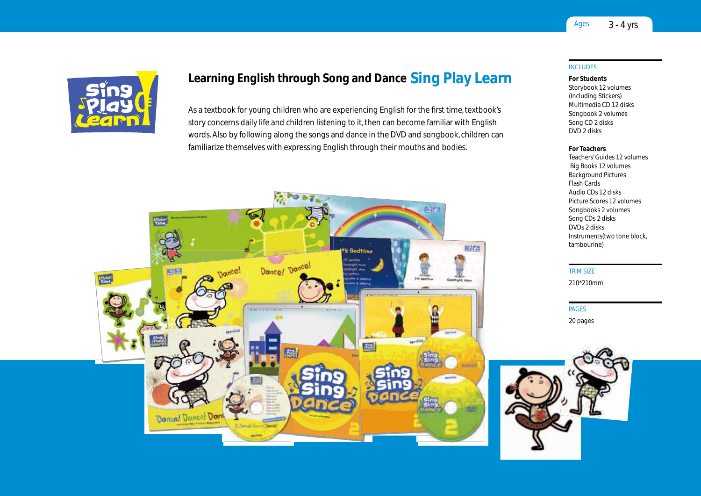

# Learning English through Song and Dance Sing Play Learn

As a textbook for young children who are experiencing English for the first time, textbook's story concerns daily life and children listening to it, then can become familiar with English words. Also by following along the songs and dance in the DVD and songbook, children can familiarize themselves with expressing English through their mouths and bodies.



## **INCLUDES**

For Students

storybook 12 volumes (Including stickers) Multimedia CD 12 disks songbook 2 volumes song CD 2 disks DVD 2 disks

#### For Teachers

Teachers' Guides 12 volumes Big Books 12 volumes Background Pictures Flash Cards Audio CDs 12 disks Picture scores 12 volumes songbooks 2 volumes song CDs 2 disks DVDs 2 disks Instruments(two tone block, tambourine)

TrIM SIzE 210\*210mm

### **PAGES** 20 pages

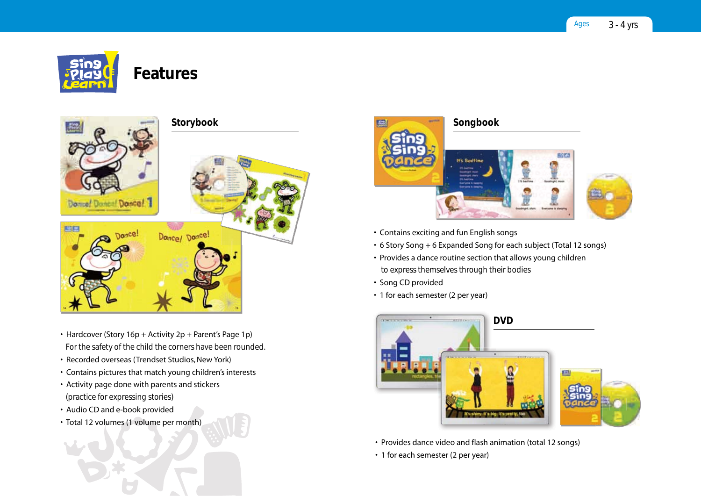

# Features



- Hardcover (Story 16p + Activity 2p + Parent's Page 1p) For the safety of the child the corners have been rounded.
- Recorded overseas (Trendset Studios, New York)
- Contains pictures that match young children's interests
- Activity page done with parents and stickers (practice for expressing stories)
- Audio CD and e-book provided
- Total 12 volumes (1 volume per month)



- Contains exciting and fun English songs
- 6 Story Song + 6 Expanded Song for each subject (Total 12 songs)
- Provides a dance routine section that allows young children to express themselves through their bodies
- Song CD provided
- 1 for each semester (2 per year)



- Provides dance video and flash animation (total 12 songs)
- 1 for each semester (2 per year)